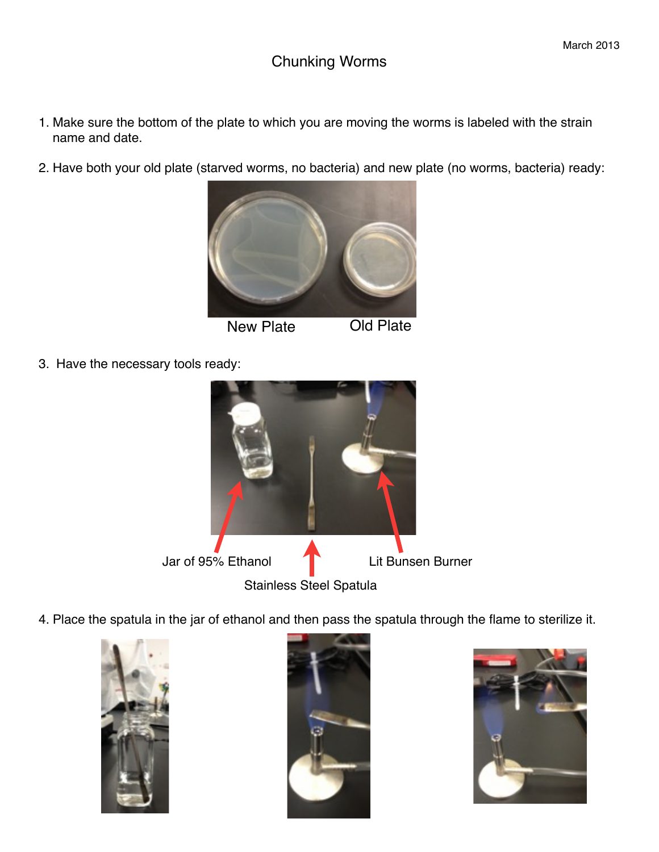- 1. Make sure the bottom of the plate to which you are moving the worms is labeled with the strain name and date.
- 2. Have both your old plate (starved worms, no bacteria) and new plate (no worms, bacteria) ready:



3. Have the necessary tools ready:



4. Place the spatula in the jar of ethanol and then pass the spatula through the flame to sterilize it.





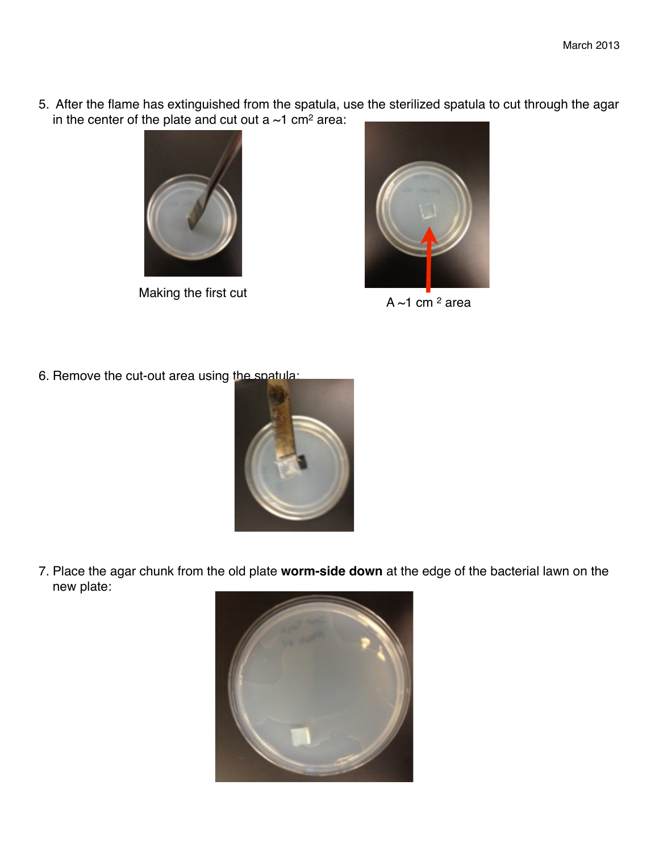5. After the flame has extinguished from the spatula, use the sterilized spatula to cut through the agar in the center of the plate and cut out a  $\sim$ 1 cm<sup>2</sup> area:



Making the first cut  $A \sim 1$  cm  $^2$  area



6. Remove the cut-out area using the spatula:



7. Place the agar chunk from the old plate **worm-side down** at the edge of the bacterial lawn on the new plate: